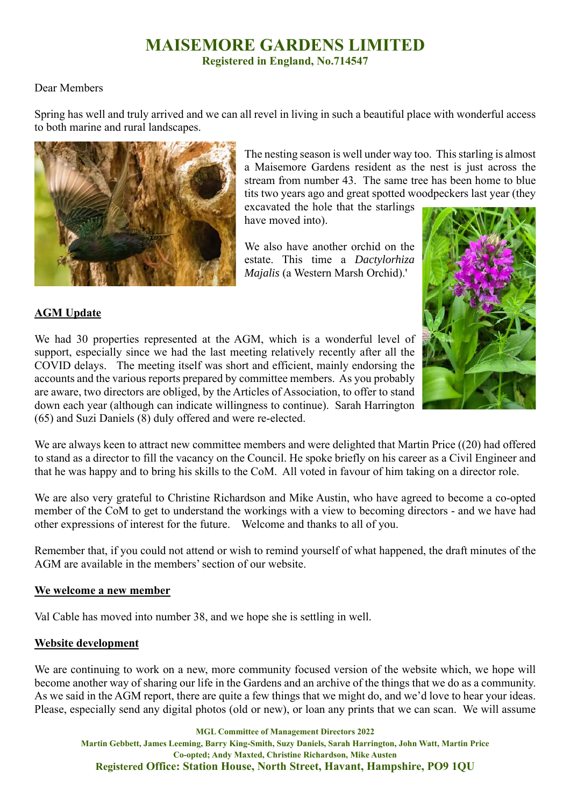## **MAISEMORE GARDENS LIMITED**

**Registered in England, No.714547** 

#### Dear Members

Spring has well and truly arrived and we can all revel in living in such a beautiful place with wonderful access to both marine and rural landscapes.



The nesting season is well under way too. This starling is almost a Maisemore Gardens resident as the nest is just across the stream from number 43. The same tree has been home to blue tits two years ago and great spotted woodpeckers last year (they

excavated the hole that the starlings have moved into).

We also have another orchid on the estate. This time a *Dactylorhiza Majalis* (a Western Marsh Orchid).'



## **AGM Update**

We had 30 properties represented at the AGM, which is a wonderful level of support, especially since we had the last meeting relatively recently after all the COVID delays. The meeting itself was short and efficient, mainly endorsing the accounts and the various reports prepared by committee members. As you probably are aware, two directors are obliged, by the Articles of Association, to offer to stand down each year (although can indicate willingness to continue). Sarah Harrington (65) and Suzi Daniels (8) duly offered and were re-elected.

We are always keen to attract new committee members and were delighted that Martin Price ((20) had offered to stand as a director to fill the vacancy on the Council. He spoke briefly on his career as a Civil Engineer and that he was happy and to bring his skills to the CoM. All voted in favour of him taking on a director role.

We are also very grateful to Christine Richardson and Mike Austin, who have agreed to become a co-opted member of the CoM to get to understand the workings with a view to becoming directors - and we have had other expressions of interest for the future. Welcome and thanks to all of you.

Remember that, if you could not attend or wish to remind yourself of what happened, the draft minutes of the AGM are available in the members' section of our website.

#### **We welcome a new member**

Val Cable has moved into number 38, and we hope she is settling in well.

#### **Website development**

We are continuing to work on a new, more community focused version of the website which, we hope will become another way of sharing our life in the Gardens and an archive of the things that we do as a community. As we said in the AGM report, there are quite a few things that we might do, and we'd love to hear your ideas. Please, especially send any digital photos (old or new), or loan any prints that we can scan. We will assume

**MGL Committee of Management Directors 2022 Martin Gebbett, James Leeming, Barry King-Smith, Suzy Daniels, Sarah Harrington, John Watt, Martin Price Co-opted; Andy Maxted, Christine Richardson, Mike Austen Registered Office: Station House, North Street, Havant, Hampshire, PO9 1QU**